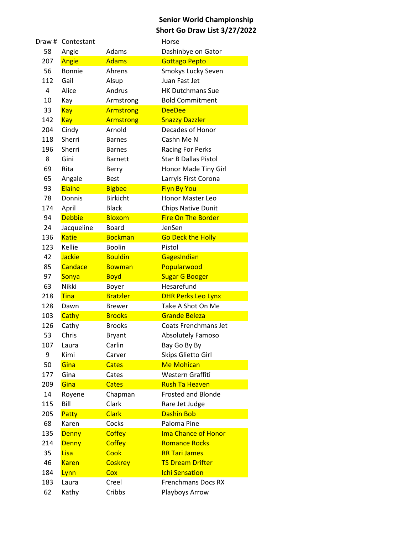| Draw #         | Contestant    |                  | Horse                       |
|----------------|---------------|------------------|-----------------------------|
| 58             | Angie         | Adams            | Dashinbye on Gator          |
| 207            | Angie         | <b>Adams</b>     | <b>Gottago Pepto</b>        |
| 56             | <b>Bonnie</b> | Ahrens           | Smokys Lucky Seven          |
| 112            | Gail          | Alsup            | Juan Fast Jet               |
| $\overline{4}$ | Alice         | Andrus           | <b>HK Dutchmans Sue</b>     |
| 10             | Kay           | Armstrong        | <b>Bold Commitment</b>      |
| 33             | Kay           | <b>Armstrong</b> | <b>DeeDee</b>               |
| 142            | <b>Kay</b>    | <b>Armstrong</b> | <b>Snazzy Dazzler</b>       |
| 204            | Cindy         | Arnold           | Decades of Honor            |
| 118            | Sherri        | <b>Barnes</b>    | Cashn Me N                  |
| 196            | Sherri        | <b>Barnes</b>    | <b>Racing For Perks</b>     |
| 8              | Gini          | <b>Barnett</b>   | <b>Star B Dallas Pistol</b> |
| 69             | Rita          | Berry            | Honor Made Tiny Girl        |
| 65             | Angale        | <b>Best</b>      | Larryis First Corona        |
| 93             | Elaine        | <b>Bigbee</b>    | <b>Flyn By You</b>          |
| 78             | Donnis        | <b>Birkicht</b>  | <b>Honor Master Leo</b>     |
| 174            | April         | <b>Black</b>     | Chips Native Dunit          |
| 94             | <b>Debbie</b> | <b>Bloxom</b>    | <b>Fire On The Border</b>   |
| 24             | Jacqueline    | <b>Board</b>     | JenSen                      |
| 136            | <b>Katie</b>  | <b>Bockman</b>   | <b>Go Deck the Holly</b>    |
| 123            | Kellie        | <b>Boolin</b>    | Pistol                      |
| 42             | <b>Jackie</b> | <b>Bouldin</b>   | GagesIndian                 |
| 85             | Candace       | <b>Bowman</b>    | Popularwood                 |
| 97             | Sonya         | <b>Boyd</b>      | <b>Sugar G Booger</b>       |
| 63             | <b>Nikki</b>  | Boyer            | Hesarefund                  |
| 218            | <b>Tina</b>   | <b>Bratzler</b>  | <b>DHR Perks Leo Lynx</b>   |
| 128            | Dawn          | <b>Brewer</b>    | Take A Shot On Me           |
| 103            | Cathy         | <b>Brooks</b>    | <b>Grande Beleza</b>        |
| 126            | Cathy         | <b>Brooks</b>    | Coats Frenchmans Jet        |
| 53             | Chris         | <b>Bryant</b>    | <b>Absolutely Famoso</b>    |
| 107            | Laura         | Carlin           | Bay Go By By                |
| 9              | Kimi          | Carver           | Skips Glietto Girl          |
| 50             | Gina          | <b>Cates</b>     | <b>Me Mohican</b>           |
| 177            | Gina          | Cates            | Western Graffiti            |
| 209            | Gina          | <b>Cates</b>     | <b>Rush Ta Heaven</b>       |
| 14             | Royene        | Chapman          | <b>Frosted and Blonde</b>   |
| 115            | Bill          | Clark            | Rare Jet Judge              |
| 205            | Patty         | <b>Clark</b>     | <b>Dashin Bob</b>           |
| 68             | Karen         | Cocks            | Paloma Pine                 |
| 135            | <b>Denny</b>  | <b>Coffey</b>    | <b>Ima Chance of Honor</b>  |
| 214            | <b>Denny</b>  | <b>Coffey</b>    | <b>Romance Rocks</b>        |
| 35             | Lisa          | Cook             | <b>RR Tari James</b>        |
| 46             | <b>Karen</b>  | <b>Coskrey</b>   | <b>TS Dream Drifter</b>     |
| 184            | Lynn          | Cox              | <b>Ichi Sensation</b>       |
| 183            | Laura         | Creel            | <b>Frenchmans Docs RX</b>   |
| 62             | Kathy         | Cribbs           | Playboys Arrow              |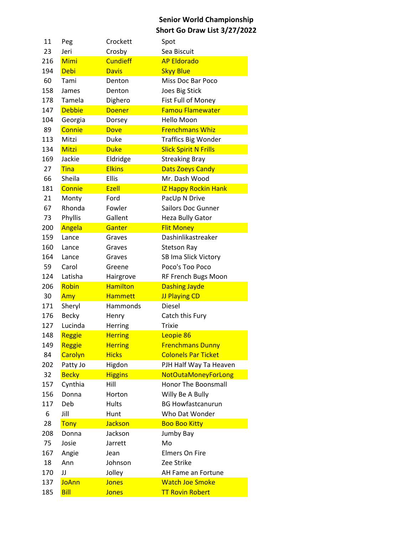| 11  | Peg           | Crockett        | Spot                         |
|-----|---------------|-----------------|------------------------------|
| 23  | Jeri          | Crosby          | Sea Biscuit                  |
| 216 | Mimi          | <b>Cundieff</b> | <b>AP Eldorado</b>           |
| 194 | <b>Debi</b>   | <b>Davis</b>    | <b>Skyy Blue</b>             |
| 60  | Tami          | Denton          | <b>Miss Doc Bar Poco</b>     |
| 158 | James         | Denton          | <b>Joes Big Stick</b>        |
| 178 | Tamela        | Dighero         | Fist Full of Money           |
| 147 | <b>Debbie</b> | <b>Doener</b>   | <b>Famou Flamewater</b>      |
| 104 | Georgia       | Dorsey          | Hello Moon                   |
| 89  | Connie        | <b>Dove</b>     | <b>Frenchmans Whiz</b>       |
| 113 | Mitzi         | Duke            | <b>Traffics Big Wonder</b>   |
| 134 | <b>Mitzi</b>  | <b>Duke</b>     | <b>Slick Spirit N Frills</b> |
| 169 | Jackie        | Eldridge        | <b>Streaking Bray</b>        |
| 27  | Tina          | <b>Elkins</b>   | <b>Dats Zoeys Candy</b>      |
| 66  | Sheila        | <b>Ellis</b>    | Mr. Dash Wood                |
| 181 | Connie        | Ezell           | <b>IZ Happy Rockin Hank</b>  |
| 21  | Monty         | Ford            | PacUp N Drive                |
| 67  | Rhonda        | Fowler          | Sailors Doc Gunner           |
| 73  | Phyllis       | Gallent         | <b>Heza Bully Gator</b>      |
| 200 | Angela        | Ganter          | <b>Flit Money</b>            |
| 159 | Lance         | Graves          | Dashinlikastreaker           |
| 160 | Lance         | Graves          | <b>Stetson Ray</b>           |
| 164 | Lance         | Graves          | SB Ima Slick Victory         |
| 59  | Carol         | Greene          | Poco's Too Poco              |
| 124 | Latisha       | Hairgrove       | RF French Bugs Moon          |
| 206 | Robin         | <b>Hamilton</b> | <b>Dashing Jayde</b>         |
| 30  | Amy           | <b>Hammett</b>  | <b>JJ Playing CD</b>         |
| 171 | Sheryl        | Hammonds        | <b>Diesel</b>                |
| 176 | <b>Becky</b>  | Henry           | Catch this Fury              |
| 127 | Lucinda       | Herring         | <b>Trixie</b>                |
| 148 | Reggie        | <b>Herring</b>  | Leopie 86                    |
| 149 | Reggie        | <b>Herring</b>  | <b>Frenchmans Dunny</b>      |
| 84  | Carolyn       | <b>Hicks</b>    | <b>Colonels Par Ticket</b>   |
| 202 | Patty Jo      | Higdon          | PJH Half Way Ta Heaven       |
| 32  | <b>Becky</b>  | <b>Higgins</b>  | <b>NotOutaMoneyForLong</b>   |
| 157 | Cynthia       | Hill            | <b>Honor The Boonsmall</b>   |
| 156 | Donna         | Horton          | Willy Be A Bully             |
| 117 | Deb           | Hults           | <b>BG Howfastcanurun</b>     |
| 6   | Jill          | Hunt            | Who Dat Wonder               |
| 28  | <b>Tony</b>   | <b>Jackson</b>  | <b>Boo Boo Kitty</b>         |
| 208 | Donna         | Jackson         | Jumby Bay                    |
| 75  | Josie         | Jarrett         | Mo                           |
| 167 | Angie         | Jean            | <b>Elmers On Fire</b>        |
| 18  | Ann           | Johnson         | Zee Strike                   |
| 170 | JJ            | Jolley          | AH Fame an Fortune           |
| 137 | <b>JoAnn</b>  | <b>Jones</b>    | <b>Watch Joe Smoke</b>       |
| 185 | <b>Bill</b>   | <b>Jones</b>    | <b>TT Rovin Robert</b>       |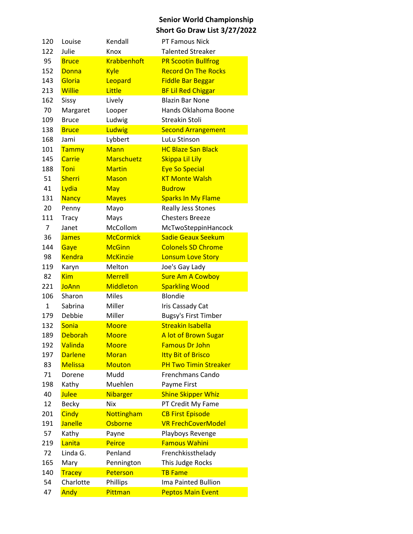| 120         | Louise         | Kendall            | PT Famous Nick               |
|-------------|----------------|--------------------|------------------------------|
| 122         | Julie          | Knox               | <b>Talented Streaker</b>     |
| 95          | <b>Bruce</b>   | <b>Krabbenhoft</b> | <b>PR Scootin Bullfrog</b>   |
| 152         | <b>Donna</b>   | <b>Kyle</b>        | <b>Record On The Rocks</b>   |
| 143         | Gloria         | Leopard            | <b>Fiddle Bar Beggar</b>     |
| 213         | <b>Willie</b>  | Little             | <b>BF Lil Red Chiggar</b>    |
| 162         | Sissy          | Lively             | <b>Blazin Bar None</b>       |
| 70          | Margaret       | Looper             | Hands Oklahoma Boone         |
| 109         | <b>Bruce</b>   | Ludwig             | <b>Streakin Stoli</b>        |
| 138         | <b>Bruce</b>   | Ludwig             | <b>Second Arrangement</b>    |
| 168         | Jami           | Lybbert            | LuLu Stinson                 |
| 101         | Tammy          | <b>Mann</b>        | <b>HC Blaze San Black</b>    |
| 145         | Carrie         | <b>Marschuetz</b>  | Skippa Lil Lily              |
| 188         | Toni           | <b>Martin</b>      | <b>Eye So Special</b>        |
| 51          | <b>Sherri</b>  | <b>Mason</b>       | <b>KT Monte Walsh</b>        |
| 41          | Lydia          | May                | <b>Budrow</b>                |
| 131         | <b>Nancy</b>   | <b>Mayes</b>       | <b>Sparks In My Flame</b>    |
| 20          | Penny          | Mayo               | <b>Really Jess Stones</b>    |
| 111         | <b>Tracy</b>   | Mays               | <b>Chesters Breeze</b>       |
| 7           | Janet          | McCollom           | McTwoSteppinHancock          |
| 36          | <b>James</b>   | <b>McCormick</b>   | <b>Sadie Geaux Seekum</b>    |
| 144         | Gaye           | <b>McGinn</b>      | <b>Colonels SD Chrome</b>    |
| 98          | <b>Kendra</b>  | <b>McKinzie</b>    | <b>Lonsum Love Story</b>     |
| 119         | Karyn          | Melton             | Joe's Gay Lady               |
| 82          | <b>Kim</b>     | <b>Merrell</b>     | <b>Sure Am A Cowboy</b>      |
| 221         | <b>JoAnn</b>   | <b>Middleton</b>   | <b>Sparkling Wood</b>        |
| 106         | Sharon         | <b>Miles</b>       | Blondie                      |
| $\mathbf 1$ | Sabrina        | Miller             | Iris Cassady Cat             |
| 179         | Debbie         | Miller             | <b>Bugsy's First Timber</b>  |
| 132         | Sonia          | <b>Moore</b>       | <b>Streakin Isabella</b>     |
| 189         | <b>Deborah</b> | <b>Moore</b>       | A lot of Brown Sugar         |
| 192         | Valinda        | <b>Moore</b>       | <b>Famous Dr John</b>        |
| 197         | <b>Darlene</b> | <b>Moran</b>       | <b>Itty Bit of Brisco</b>    |
| 83          | <b>Melissa</b> | <b>Mouton</b>      | <b>PH Two Timin Streaker</b> |
| 71          | Dorene         | Mudd               | <b>Frenchmans Cando</b>      |
| 198         | Kathy          | Muehlen            | Payme First                  |
| 40          | Julee          | <b>Nibarger</b>    | <b>Shine Skipper Whiz</b>    |
| 12          | <b>Becky</b>   | <b>Nix</b>         | PT Credit My Fame            |
| 201         | <b>Cindy</b>   | Nottingham         | <b>CB First Episode</b>      |
| 191         | <b>Janelle</b> | Osborne            | <b>VR FrechCoverModel</b>    |
| 57          | Kathy          | Payne              | Playboys Revenge             |
| 219         | Lanita         | Peirce             | <b>Famous Wahini</b>         |
| 72          | Linda G.       | Penland            | Frenchkissthelady            |
| 165         | Mary           | Pennington         | This Judge Rocks             |
| 140         | <b>Tracey</b>  | Peterson           | <b>TB Fame</b>               |
| 54          | Charlotte      | Phillips           | Ima Painted Bullion          |
| 47          | Andy           | Pittman            | <b>Peptos Main Event</b>     |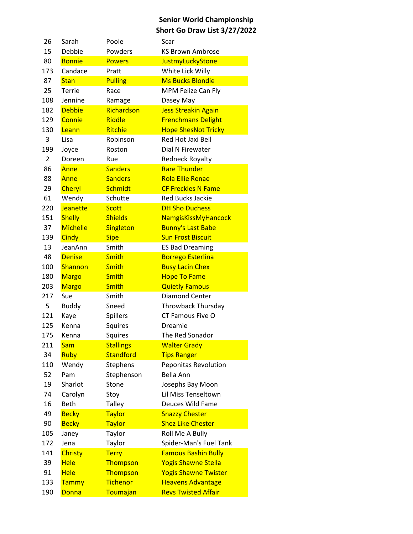| 26  | Sarah           | Poole            | Scar                        |
|-----|-----------------|------------------|-----------------------------|
| 15  | Debbie          | Powders          | <b>KS Brown Ambrose</b>     |
| 80  | <b>Bonnie</b>   | <b>Powers</b>    | <b>JustmyLuckyStone</b>     |
| 173 | Candace         | Pratt            | White Lick Willy            |
| 87  | <b>Stan</b>     | <b>Pulling</b>   | <b>Ms Bucks Blondie</b>     |
| 25  | Terrie          | Race             | MPM Felize Can Fly          |
| 108 | Jennine         | Ramage           | Dasey May                   |
| 182 | <b>Debbie</b>   | Richardson       | <b>Jess Streakin Again</b>  |
| 129 | Connie          | Riddle           | <b>Frenchmans Delight</b>   |
| 130 | Leann           | <b>Ritchie</b>   | <b>Hope ShesNot Tricky</b>  |
| 3   | Lisa            | Robinson         | Red Hot Jaxi Bell           |
| 199 | Joyce           | Roston           | Dial N Firewater            |
| 2   | Doreen          | Rue              | <b>Redneck Royalty</b>      |
| 86  | Anne            | <b>Sanders</b>   | <b>Rare Thunder</b>         |
| 88  | Anne            | <b>Sanders</b>   | <b>Rola Ellie Renae</b>     |
| 29  | Cheryl          | Schmidt          | <b>CF Freckles N Fame</b>   |
| 61  | Wendy           | Schutte          | <b>Red Bucks Jackie</b>     |
| 220 | Jeanette        | <b>Scott</b>     | <b>DH Sho Duchess</b>       |
| 151 | <b>Shelly</b>   | <b>Shields</b>   | NamgisKissMyHancock         |
| 37  | <b>Michelle</b> | Singleton        | <b>Bunny's Last Babe</b>    |
| 139 | Cindy           | <b>Sipe</b>      | <b>Sun Frost Biscuit</b>    |
| 13  | JeanAnn         | Smith            | <b>ES Bad Dreaming</b>      |
| 48  | <b>Denise</b>   | <b>Smith</b>     | <b>Borrego Esterlina</b>    |
| 100 | Shannon         | <b>Smith</b>     | <b>Busy Lacin Chex</b>      |
| 180 | <b>Margo</b>    | <b>Smith</b>     | <b>Hope To Fame</b>         |
| 203 | <b>Margo</b>    | <b>Smith</b>     | <b>Quietly Famous</b>       |
| 217 | Sue             | Smith            | Diamond Center              |
| 5   | <b>Buddy</b>    | Sneed            | <b>Throwback Thursday</b>   |
| 121 | Kaye            | <b>Spillers</b>  | CT Famous Five O            |
| 125 | Kenna           | Squires          | Dreamie                     |
| 175 | Kenna           | Squires          | The Red Sonador             |
| 211 | <b>Sam</b>      | <b>Stallings</b> | <b>Walter Grady</b>         |
| 34  | Ruby            | <b>Standford</b> | <b>Tips Ranger</b>          |
| 110 | Wendy           | Stephens         | Peponitas Revolution        |
| 52  | Pam             | Stephenson       | Bella Ann                   |
| 19  | Sharlot         | Stone            | Josephs Bay Moon            |
| 74  | Carolyn         | Stoy             | Lil Miss Tenseltown         |
| 16  | <b>Beth</b>     | <b>Talley</b>    | Deuces Wild Fame            |
| 49  | <b>Becky</b>    | <b>Taylor</b>    | <b>Snazzy Chester</b>       |
| 90  | <b>Becky</b>    | <b>Taylor</b>    | <b>Shez Like Chester</b>    |
| 105 | Janey           | Taylor           | Roll Me A Bully             |
| 172 | Jena            | Taylor           | Spider-Man's Fuel Tank      |
| 141 | <b>Christy</b>  | <b>Terry</b>     | <b>Famous Bashin Bully</b>  |
| 39  | <b>Hele</b>     | Thompson         | <b>Yogis Shawne Stella</b>  |
| 91  | <b>Hele</b>     | Thompson         | <b>Yogis Shawne Twister</b> |
| 133 | Tammy           | <b>Tichenor</b>  | <b>Heavens Advantage</b>    |
| 190 | Donna           | Toumajan         | <b>Revs Twisted Affair</b>  |